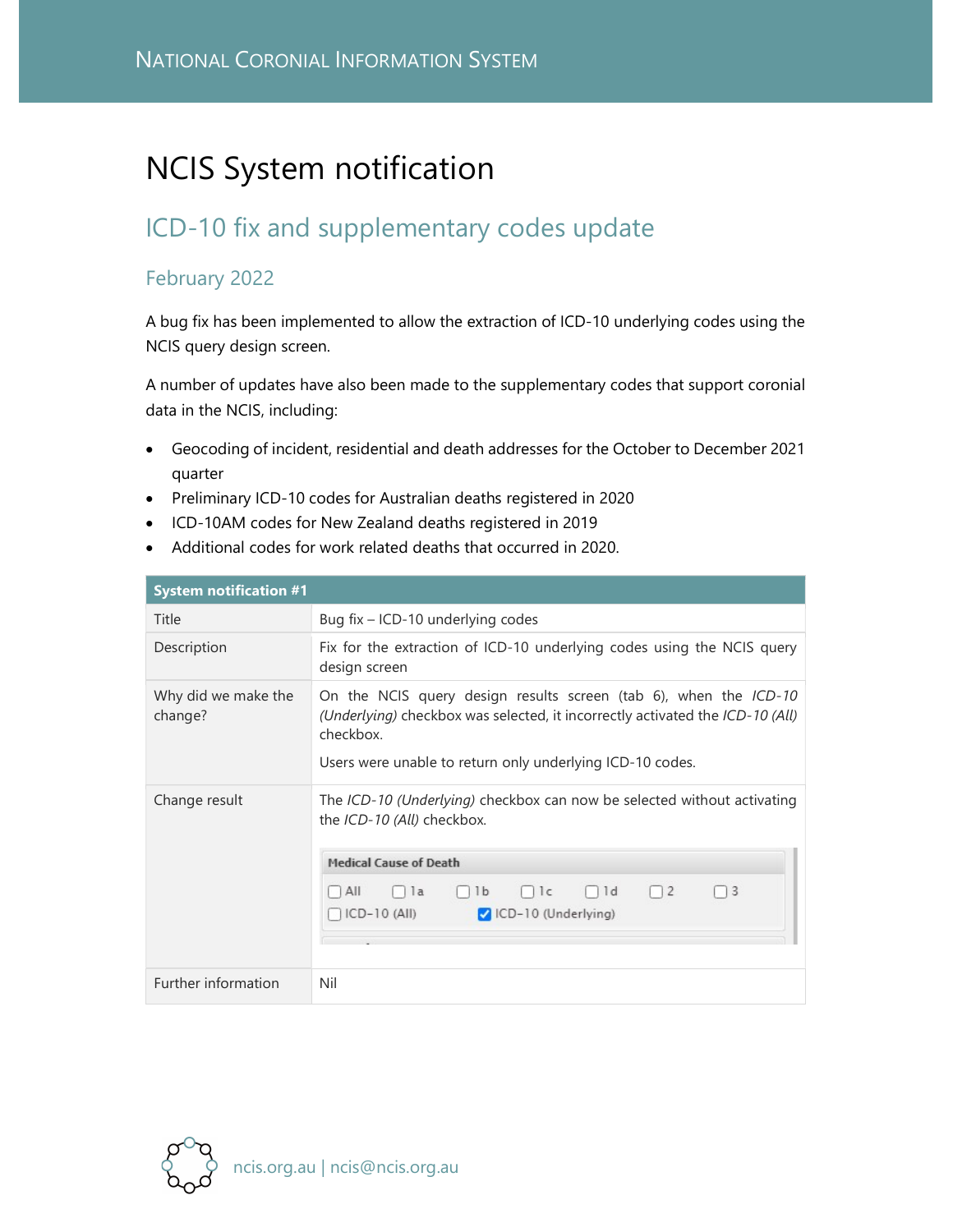## NCIS System notification

## ICD-10 fix and supplementary codes update

## February 2022

A bug fix has been implemented to allow the extraction of ICD-10 underlying codes using the NCIS query design screen.

A number of updates have also been made to the supplementary codes that support coronial data in the NCIS, including:

- Geocoding of incident, residential and death addresses for the October to December 2021 quarter
- Preliminary ICD-10 codes for Australian deaths registered in 2020
- ICD-10AM codes for New Zealand deaths registered in 2019
- Additional codes for work related deaths that occurred in 2020.

| <b>System notification #1</b>  |                                                                                                                                                                                                                             |
|--------------------------------|-----------------------------------------------------------------------------------------------------------------------------------------------------------------------------------------------------------------------------|
| Title                          | Bug fix - ICD-10 underlying codes                                                                                                                                                                                           |
| Description                    | Fix for the extraction of ICD-10 underlying codes using the NCIS query<br>design screen                                                                                                                                     |
| Why did we make the<br>change? | On the NCIS query design results screen (tab 6), when the ICD-10<br>(Underlying) checkbox was selected, it incorrectly activated the ICD-10 (All)<br>checkbox.<br>Users were unable to return only underlying ICD-10 codes. |
| Change result                  | The ICD-10 (Underlying) checkbox can now be selected without activating<br>the ICD-10 (All) checkbox.<br><b>Medical Cause of Death</b>                                                                                      |
|                                | $\Box$ ld<br>$\Box$ 2<br>$\Box$ la<br>1 <sup>c</sup><br>$\Box$ 3<br>All<br>1b<br>$ICD-10$ (All)<br>CD-10 (Underlying)                                                                                                       |
| Further information            | Nil                                                                                                                                                                                                                         |

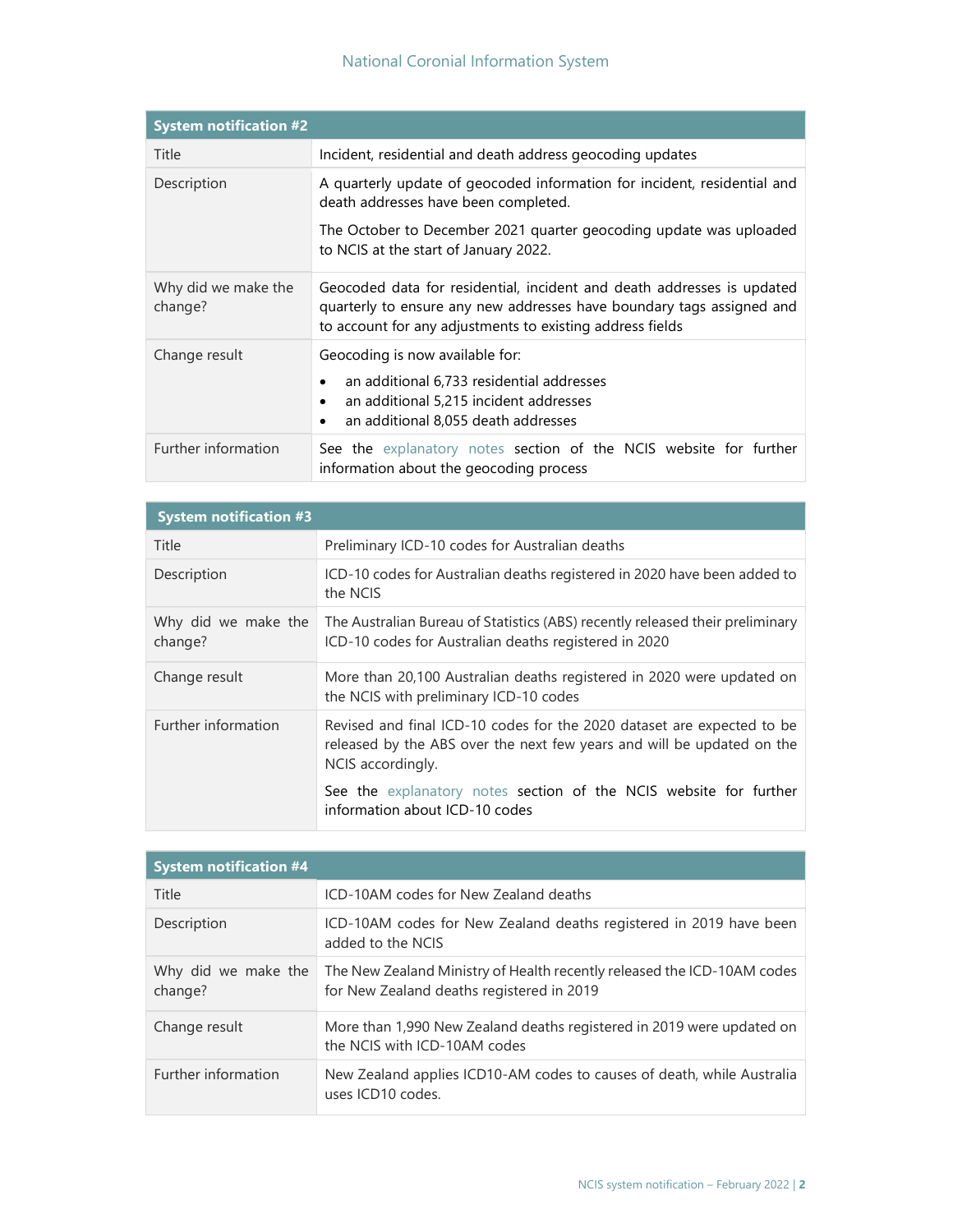## National Coronial Information System

| <b>System notification #2</b>  |                                                                                                                                                                                                                                 |
|--------------------------------|---------------------------------------------------------------------------------------------------------------------------------------------------------------------------------------------------------------------------------|
| Title                          | Incident, residential and death address geocoding updates                                                                                                                                                                       |
| Description                    | A quarterly update of geocoded information for incident, residential and<br>death addresses have been completed.<br>The October to December 2021 quarter geocoding update was uploaded<br>to NCIS at the start of January 2022. |
| Why did we make the<br>change? | Geocoded data for residential, incident and death addresses is updated<br>quarterly to ensure any new addresses have boundary tags assigned and<br>to account for any adjustments to existing address fields                    |
| Change result                  | Geocoding is now available for:<br>an additional 6,733 residential addresses<br>an additional 5,215 incident addresses<br>$\bullet$<br>an additional 8,055 death addresses                                                      |
| Further information            | See the explanatory notes section of the NCIS website for further<br>information about the geocoding process                                                                                                                    |

| <b>System notification #3</b>  |                                                                                                                                                                       |
|--------------------------------|-----------------------------------------------------------------------------------------------------------------------------------------------------------------------|
| Title                          | Preliminary ICD-10 codes for Australian deaths                                                                                                                        |
| Description                    | ICD-10 codes for Australian deaths registered in 2020 have been added to<br>the NCIS                                                                                  |
| Why did we make the<br>change? | The Australian Bureau of Statistics (ABS) recently released their preliminary<br>ICD-10 codes for Australian deaths registered in 2020                                |
| Change result                  | More than 20,100 Australian deaths registered in 2020 were updated on<br>the NCIS with preliminary ICD-10 codes                                                       |
| Further information            | Revised and final ICD-10 codes for the 2020 dataset are expected to be<br>released by the ABS over the next few years and will be updated on the<br>NCIS accordingly. |
|                                | See the explanatory notes section of the NCIS website for further<br>information about ICD-10 codes                                                                   |

| <b>System notification #4</b>  |                                                                                                                      |
|--------------------------------|----------------------------------------------------------------------------------------------------------------------|
| Title                          | ICD-10AM codes for New Zealand deaths                                                                                |
| Description                    | ICD-10AM codes for New Zealand deaths registered in 2019 have been<br>added to the NCIS                              |
| Why did we make the<br>change? | The New Zealand Ministry of Health recently released the ICD-10AM codes<br>for New Zealand deaths registered in 2019 |
| Change result                  | More than 1,990 New Zealand deaths registered in 2019 were updated on<br>the NCIS with ICD-10AM codes                |
| Further information            | New Zealand applies ICD10-AM codes to causes of death, while Australia<br>uses ICD10 codes.                          |